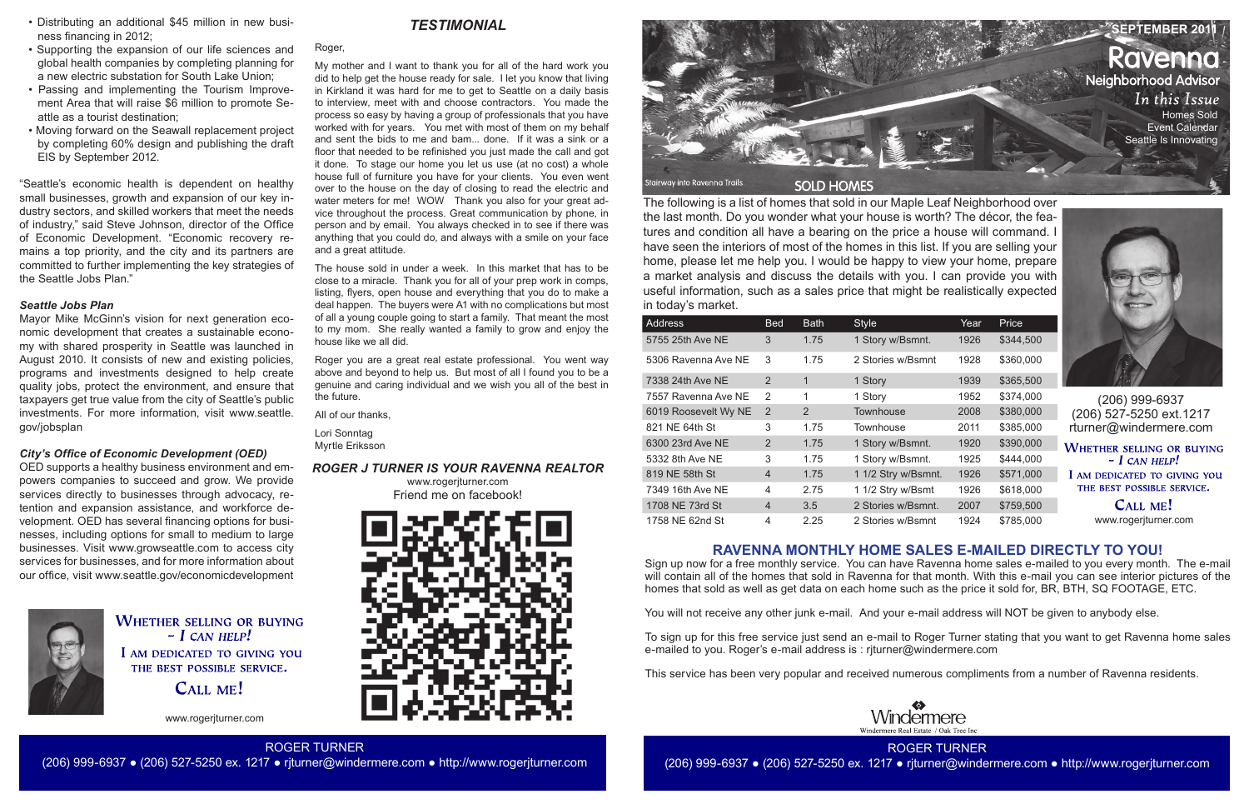The following is a list of homes that sold in our Maple Leaf Neighborhood over the last month. Do you wonder what your house is worth? The décor, the features and condition all have a bearing on the price a house will command. I have seen the interiors of most of the homes in this list. If you are selling your home, please let me help you. I would be happy to view your home, prepare a market analysis and discuss the details with you. I can provide you with useful information, such as a sales price that might be realistically expected in today's market.

> CALL ME! www.rogerjturner.com

Windermere

| Address              | <b>Bed</b>     | <b>Bath</b> | <b>Style</b>        | Year | Price     |
|----------------------|----------------|-------------|---------------------|------|-----------|
| 5755 25th Ave NE     | 3              | 1.75        | 1 Story w/Bsmnt.    | 1926 | \$344,500 |
| 5306 Ravenna Ave NE  | 3              | 1.75        | 2 Stories w/Bsmnt   | 1928 | \$360,000 |
| 7338 24th Ave NE     | 2              | 1           | 1 Story             | 1939 | \$365,500 |
| 7557 Ravenna Ave NE  | $\mathcal{P}$  | 1           | 1 Story             | 1952 | \$374,000 |
| 6019 Roosevelt Wy NE | $\overline{2}$ | 2           | Townhouse           | 2008 | \$380,000 |
| 821 NE 64th St       | 3              | 1.75        | Townhouse           | 2011 | \$385,000 |
| 6300 23rd Ave NE     | $\overline{2}$ | 1.75        | 1 Story w/Bsmnt.    | 1920 | \$390,000 |
| 5332 8th Ave NE      | 3              | 1.75        | 1 Story w/Bsmnt.    | 1925 | \$444,000 |
| 819 NE 58th St       | $\overline{4}$ | 1.75        | 1 1/2 Stry w/Bsmnt. | 1926 | \$571,000 |
| 7349 16th Ave NE     | 4              | 2.75        | 1 1/2 Stry w/Bsmt   | 1926 | \$618,000 |
| 1708 NE 73rd St      | $\overline{4}$ | 3.5         | 2 Stories w/Bsmnt.  | 2007 | \$759,500 |
| 1758 NF 62nd St      | 4              | 2.25        | 2 Stories w/Bsmnt   | 1924 | \$785,000 |



(206) 999-6937 (206) 527-5250 ext.1217 rturner@windermere.com

**WHETHER SELLING OR BUYING**  $-$  I CAN HELP! I AM DEDICATED TO GIVING YOU THE BEST POSSIBLE SERVICE.



www.rogerjturner.com

ROGER TURNER (206) 999-6937 ● (206) 527-5250 ex. 1217 ● rjturner@windermere.com ● http://www.rogerjturner.com

Roger,

My mother and I want to thank you for all of the hard work you did to help get the house ready for sale. I let you know that living in Kirkland it was hard for me to get to Seattle on a daily basis to interview, meet with and choose contractors. You made the process so easy by having a group of professionals that you have worked with for years. You met with most of them on my behalf and sent the bids to me and bam... done. If it was a sink or a floor that needed to be refinished you just made the call and got it done. To stage our home you let us use (at no cost) a whole house full of furniture you have for your clients. You even went over to the house on the day of closing to read the electric and water meters for me! WOW Thank you also for your great advice throughout the process. Great communication by phone, in person and by email. You always checked in to see if there was anything that you could do, and always with a smile on your face and a great attitude.

The house sold in under a week. In this market that has to be close to a miracle. Thank you for all of your prep work in comps, listing, flyers, open house and everything that you do to make a deal happen. The buyers were A1 with no complications but most of all a young couple going to start a family. That meant the most to my mom. She really wanted a family to grow and enjoy the house like we all did.

Roger you are a great real estate professional. You went way above and beyond to help us. But most of all I found you to be a genuine and caring individual and we wish you all of the best in the future.

All of our thanks,

Lori Sonntag Myrtle Eriksson

# **RAVENNA MONTHLY HOME SALES E-MAILED DIRECTLY TO YOU!**

Sign up now for a free monthly service. You can have Ravenna home sales e-mailed to you every month. The e-mail will contain all of the homes that sold in Ravenna for that month. With this e-mail you can see interior pictures of the homes that sold as well as get data on each home such as the price it sold for, BR, BTH, SQ FOOTAGE, ETC.

You will not receive any other junk e-mail. And your e-mail address will NOT be given to anybody else.

To sign up for this free service just send an e-mail to Roger Turner stating that you want to get Ravenna home sales e-mailed to you. Roger's e-mail address is : rjturner@windermere.com

This service has been very popular and received numerous compliments from a number of Ravenna residents.





- Distributing an additional \$45 million in new business financing in 2012;
- Supporting the expansion of our life sciences and global health companies by completing planning for a new electric substation for South Lake Union;
- Passing and implementing the Tourism Improvement Area that will raise \$6 million to promote Seattle as a tourist destination;
- Moving forward on the Seawall replacement project by completing 60% design and publishing the draft EIS by September 2012.

"Seattle's economic health is dependent on healthy small businesses, growth and expansion of our key industry sectors, and skilled workers that meet the needs of industry," said Steve Johnson, director of the Office of Economic Development. "Economic recovery remains a top priority, and the city and its partners are committed to further implementing the key strategies of the Seattle Jobs Plan."

#### *Seattle Jobs Plan*

Mayor Mike McGinn's vision for next generation economic development that creates a sustainable economy with shared prosperity in Seattle was launched in August 2010. It consists of new and existing policies, programs and investments designed to help create quality jobs, protect the environment, and ensure that taxpayers get true value from the city of Seattle's public investments. For more information, visit www.seattle. gov/jobsplan

#### *City's Office of Economic Development (OED)*

OED supports a healthy business environment and empowers companies to succeed and grow. We provide services directly to businesses through advocacy, retention and expansion assistance, and workforce development. OED has several financing options for businesses, including options for small to medium to large businesses. Visit www.growseattle.com to access city services for businesses, and for more information about our office, visit www.seattle.gov/economicdevelopment



**WHETHER SELLING OR BUYING**  $-$  *I CAN HELP!* I AM DEDICATED TO GIVING YOU THE BEST POSSIBLE SERVICE.

CALL ME!

## *ROGER J TURNER IS YOUR RAVENNA REALTOR*

www.rogerjturner.com Friend me on facebook!